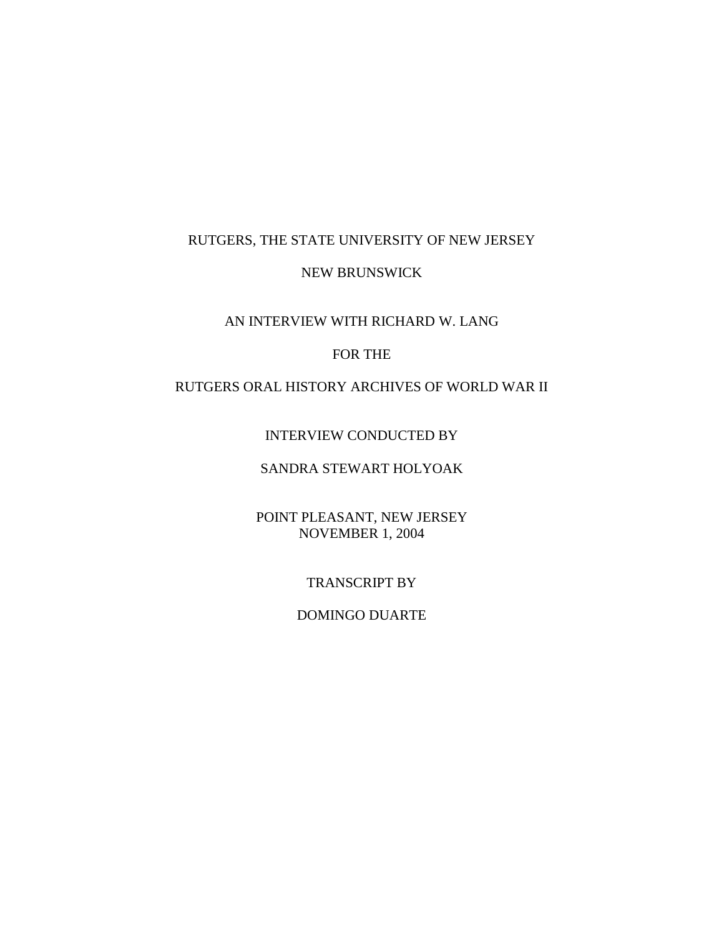## RUTGERS, THE STATE UNIVERSITY OF NEW JERSEY

### NEW BRUNSWICK

### AN INTERVIEW WITH RICHARD W. LANG

## FOR THE

# RUTGERS ORAL HISTORY ARCHIVES OF WORLD WAR II

### INTERVIEW CONDUCTED BY

# SANDRA STEWART HOLYOAK

## POINT PLEASANT, NEW JERSEY NOVEMBER 1, 2004

### TRANSCRIPT BY

#### DOMINGO DUARTE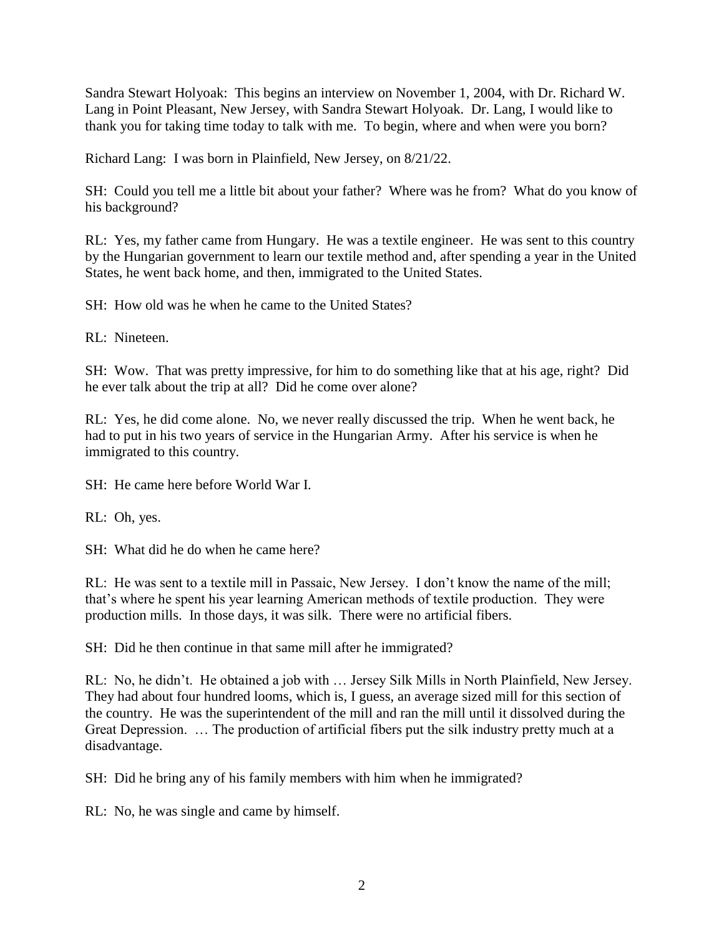Sandra Stewart Holyoak: This begins an interview on November 1, 2004, with Dr. Richard W. Lang in Point Pleasant, New Jersey, with Sandra Stewart Holyoak. Dr. Lang, I would like to thank you for taking time today to talk with me. To begin, where and when were you born?

Richard Lang: I was born in Plainfield, New Jersey, on 8/21/22.

SH: Could you tell me a little bit about your father? Where was he from? What do you know of his background?

RL: Yes, my father came from Hungary. He was a textile engineer. He was sent to this country by the Hungarian government to learn our textile method and, after spending a year in the United States, he went back home, and then, immigrated to the United States.

SH: How old was he when he came to the United States?

RL: Nineteen.

SH: Wow. That was pretty impressive, for him to do something like that at his age, right? Did he ever talk about the trip at all? Did he come over alone?

RL: Yes, he did come alone. No, we never really discussed the trip. When he went back, he had to put in his two years of service in the Hungarian Army. After his service is when he immigrated to this country.

SH: He came here before World War I.

RL: Oh, yes.

SH: What did he do when he came here?

RL: He was sent to a textile mill in Passaic, New Jersey. I don't know the name of the mill; that's where he spent his year learning American methods of textile production. They were production mills. In those days, it was silk. There were no artificial fibers.

SH: Did he then continue in that same mill after he immigrated?

RL: No, he didn't. He obtained a job with … Jersey Silk Mills in North Plainfield, New Jersey. They had about four hundred looms, which is, I guess, an average sized mill for this section of the country. He was the superintendent of the mill and ran the mill until it dissolved during the Great Depression. … The production of artificial fibers put the silk industry pretty much at a disadvantage.

SH: Did he bring any of his family members with him when he immigrated?

RL: No, he was single and came by himself.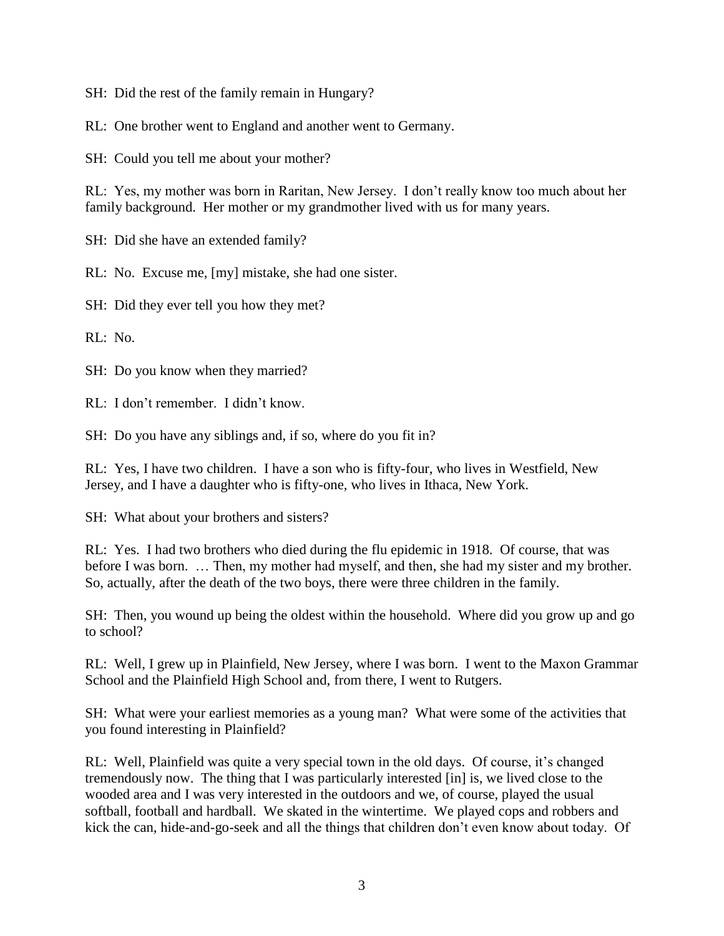SH: Did the rest of the family remain in Hungary?

RL: One brother went to England and another went to Germany.

SH: Could you tell me about your mother?

RL: Yes, my mother was born in Raritan, New Jersey. I don't really know too much about her family background. Her mother or my grandmother lived with us for many years.

SH: Did she have an extended family?

RL: No. Excuse me, [my] mistake, she had one sister.

SH: Did they ever tell you how they met?

RL: No.

SH: Do you know when they married?

RL: I don't remember. I didn't know.

SH: Do you have any siblings and, if so, where do you fit in?

RL: Yes, I have two children. I have a son who is fifty-four, who lives in Westfield, New Jersey, and I have a daughter who is fifty-one, who lives in Ithaca, New York.

SH: What about your brothers and sisters?

RL: Yes. I had two brothers who died during the flu epidemic in 1918. Of course, that was before I was born. … Then, my mother had myself, and then, she had my sister and my brother. So, actually, after the death of the two boys, there were three children in the family.

SH: Then, you wound up being the oldest within the household. Where did you grow up and go to school?

RL: Well, I grew up in Plainfield, New Jersey, where I was born. I went to the Maxon Grammar School and the Plainfield High School and, from there, I went to Rutgers.

SH: What were your earliest memories as a young man? What were some of the activities that you found interesting in Plainfield?

RL: Well, Plainfield was quite a very special town in the old days. Of course, it's changed tremendously now. The thing that I was particularly interested [in] is, we lived close to the wooded area and I was very interested in the outdoors and we, of course, played the usual softball, football and hardball. We skated in the wintertime. We played cops and robbers and kick the can, hide-and-go-seek and all the things that children don't even know about today. Of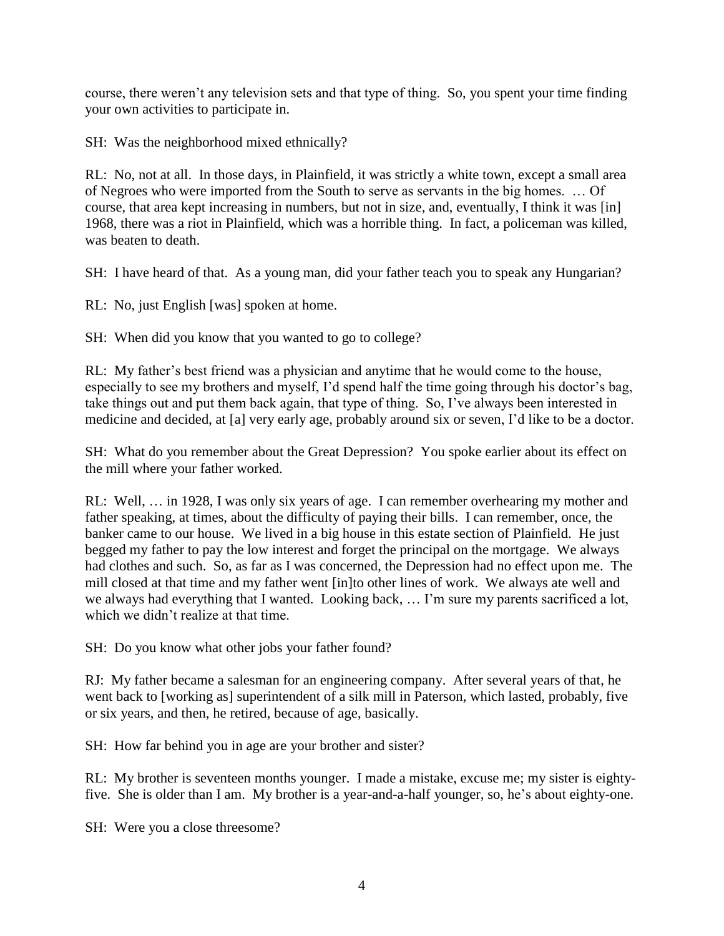course, there weren't any television sets and that type of thing. So, you spent your time finding your own activities to participate in.

SH: Was the neighborhood mixed ethnically?

RL: No, not at all. In those days, in Plainfield, it was strictly a white town, except a small area of Negroes who were imported from the South to serve as servants in the big homes. … Of course, that area kept increasing in numbers, but not in size, and, eventually, I think it was [in] 1968, there was a riot in Plainfield, which was a horrible thing. In fact, a policeman was killed, was beaten to death.

SH: I have heard of that. As a young man, did your father teach you to speak any Hungarian?

RL: No, just English [was] spoken at home.

SH: When did you know that you wanted to go to college?

RL: My father's best friend was a physician and anytime that he would come to the house, especially to see my brothers and myself, I'd spend half the time going through his doctor's bag, take things out and put them back again, that type of thing. So, I've always been interested in medicine and decided, at [a] very early age, probably around six or seven, I'd like to be a doctor.

SH: What do you remember about the Great Depression? You spoke earlier about its effect on the mill where your father worked.

RL: Well, … in 1928, I was only six years of age. I can remember overhearing my mother and father speaking, at times, about the difficulty of paying their bills. I can remember, once, the banker came to our house. We lived in a big house in this estate section of Plainfield. He just begged my father to pay the low interest and forget the principal on the mortgage. We always had clothes and such. So, as far as I was concerned, the Depression had no effect upon me. The mill closed at that time and my father went [in]to other lines of work. We always ate well and we always had everything that I wanted. Looking back, … I'm sure my parents sacrificed a lot, which we didn't realize at that time.

SH: Do you know what other jobs your father found?

RJ: My father became a salesman for an engineering company. After several years of that, he went back to [working as] superintendent of a silk mill in Paterson, which lasted, probably, five or six years, and then, he retired, because of age, basically.

SH: How far behind you in age are your brother and sister?

RL: My brother is seventeen months younger. I made a mistake, excuse me; my sister is eightyfive. She is older than I am. My brother is a year-and-a-half younger, so, he's about eighty-one.

SH: Were you a close threesome?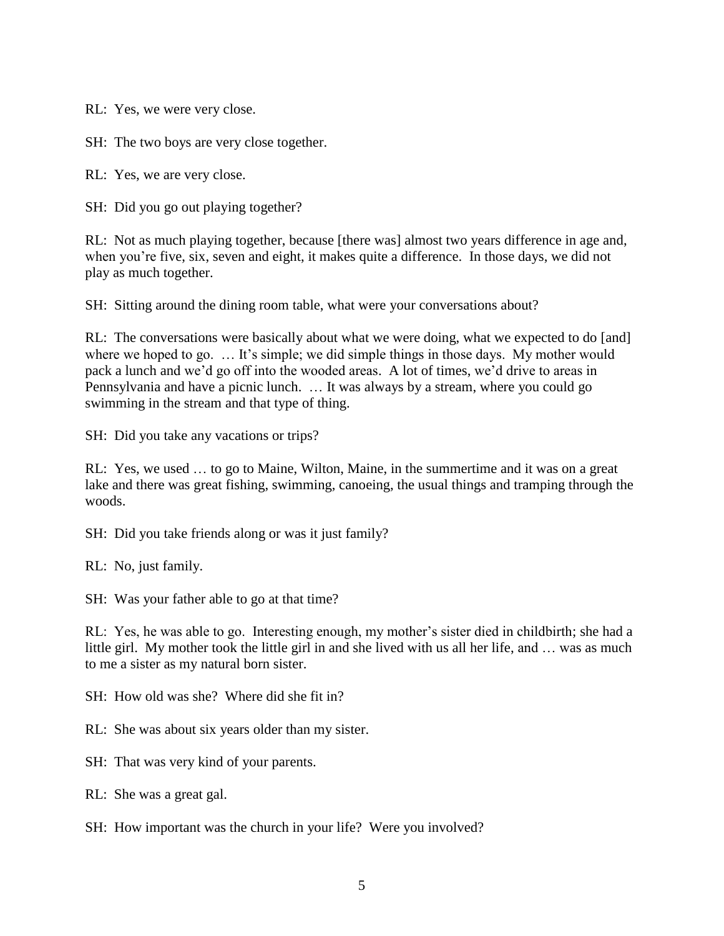RL: Yes, we were very close.

SH: The two boys are very close together.

RL: Yes, we are very close.

SH: Did you go out playing together?

RL: Not as much playing together, because [there was] almost two years difference in age and, when you're five, six, seven and eight, it makes quite a difference. In those days, we did not play as much together.

SH: Sitting around the dining room table, what were your conversations about?

RL: The conversations were basically about what we were doing, what we expected to do [and] where we hoped to go. ... It's simple; we did simple things in those days. My mother would pack a lunch and we'd go off into the wooded areas. A lot of times, we'd drive to areas in Pennsylvania and have a picnic lunch. … It was always by a stream, where you could go swimming in the stream and that type of thing.

SH: Did you take any vacations or trips?

RL: Yes, we used … to go to Maine, Wilton, Maine, in the summertime and it was on a great lake and there was great fishing, swimming, canoeing, the usual things and tramping through the woods.

SH: Did you take friends along or was it just family?

RL: No, just family.

SH: Was your father able to go at that time?

RL: Yes, he was able to go. Interesting enough, my mother's sister died in childbirth; she had a little girl. My mother took the little girl in and she lived with us all her life, and … was as much to me a sister as my natural born sister.

SH: How old was she? Where did she fit in?

RL: She was about six years older than my sister.

SH: That was very kind of your parents.

RL: She was a great gal.

SH: How important was the church in your life? Were you involved?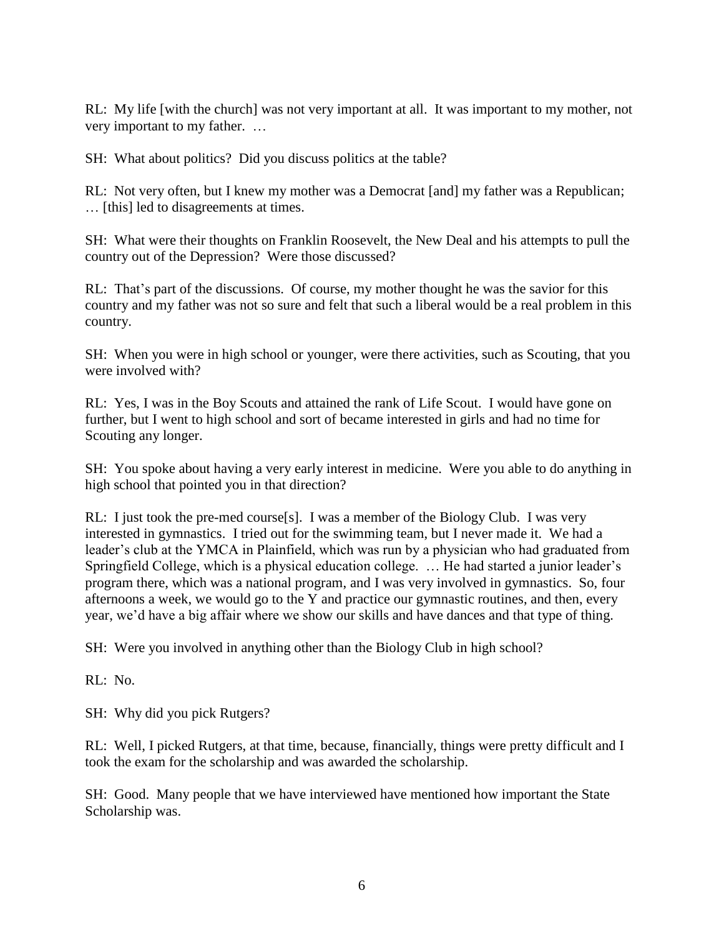RL: My life [with the church] was not very important at all. It was important to my mother, not very important to my father. …

SH: What about politics? Did you discuss politics at the table?

RL: Not very often, but I knew my mother was a Democrat [and] my father was a Republican; … [this] led to disagreements at times.

SH: What were their thoughts on Franklin Roosevelt, the New Deal and his attempts to pull the country out of the Depression? Were those discussed?

RL: That's part of the discussions. Of course, my mother thought he was the savior for this country and my father was not so sure and felt that such a liberal would be a real problem in this country.

SH: When you were in high school or younger, were there activities, such as Scouting, that you were involved with?

RL: Yes, I was in the Boy Scouts and attained the rank of Life Scout. I would have gone on further, but I went to high school and sort of became interested in girls and had no time for Scouting any longer.

SH: You spoke about having a very early interest in medicine. Were you able to do anything in high school that pointed you in that direction?

RL: I just took the pre-med course [s]. I was a member of the Biology Club. I was very interested in gymnastics. I tried out for the swimming team, but I never made it. We had a leader's club at the YMCA in Plainfield, which was run by a physician who had graduated from Springfield College, which is a physical education college. … He had started a junior leader's program there, which was a national program, and I was very involved in gymnastics. So, four afternoons a week, we would go to the Y and practice our gymnastic routines, and then, every year, we'd have a big affair where we show our skills and have dances and that type of thing.

SH: Were you involved in anything other than the Biology Club in high school?

RL: No.

SH: Why did you pick Rutgers?

RL: Well, I picked Rutgers, at that time, because, financially, things were pretty difficult and I took the exam for the scholarship and was awarded the scholarship.

SH: Good. Many people that we have interviewed have mentioned how important the State Scholarship was.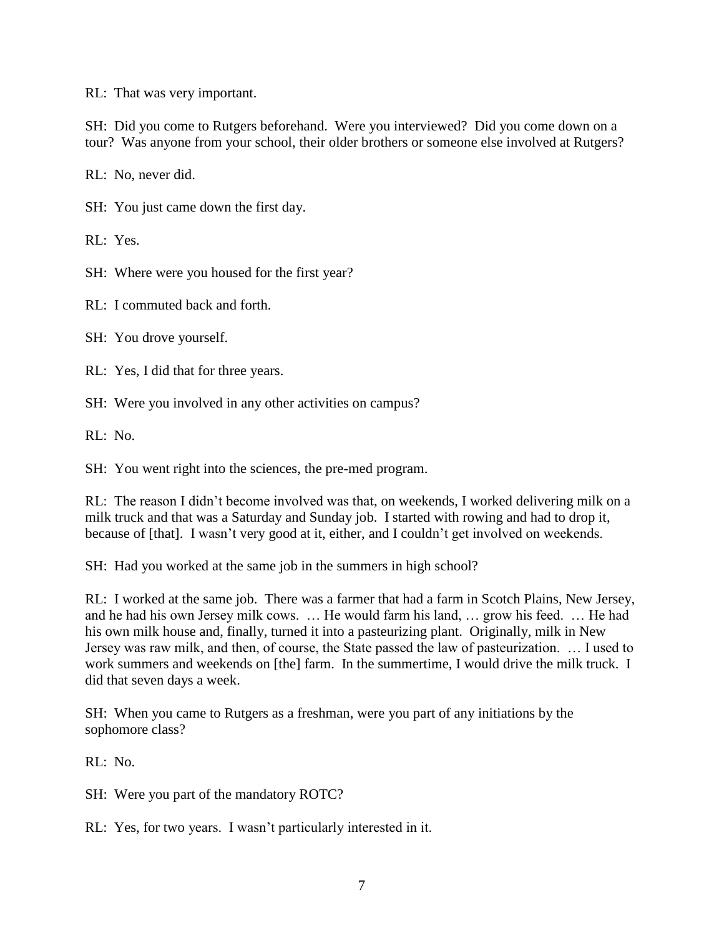RL: That was very important.

SH: Did you come to Rutgers beforehand. Were you interviewed? Did you come down on a tour? Was anyone from your school, their older brothers or someone else involved at Rutgers?

RL: No, never did.

SH: You just came down the first day.

RL: Yes.

SH: Where were you housed for the first year?

RL: I commuted back and forth.

SH: You drove yourself.

RL: Yes, I did that for three years.

SH: Were you involved in any other activities on campus?

RL: No.

SH: You went right into the sciences, the pre-med program.

RL: The reason I didn't become involved was that, on weekends, I worked delivering milk on a milk truck and that was a Saturday and Sunday job. I started with rowing and had to drop it, because of [that]. I wasn't very good at it, either, and I couldn't get involved on weekends.

SH: Had you worked at the same job in the summers in high school?

RL: I worked at the same job. There was a farmer that had a farm in Scotch Plains, New Jersey, and he had his own Jersey milk cows. … He would farm his land, … grow his feed. … He had his own milk house and, finally, turned it into a pasteurizing plant. Originally, milk in New Jersey was raw milk, and then, of course, the State passed the law of pasteurization. … I used to work summers and weekends on [the] farm. In the summertime, I would drive the milk truck. I did that seven days a week.

SH: When you came to Rutgers as a freshman, were you part of any initiations by the sophomore class?

RL: No.

SH: Were you part of the mandatory ROTC?

RL: Yes, for two years. I wasn't particularly interested in it.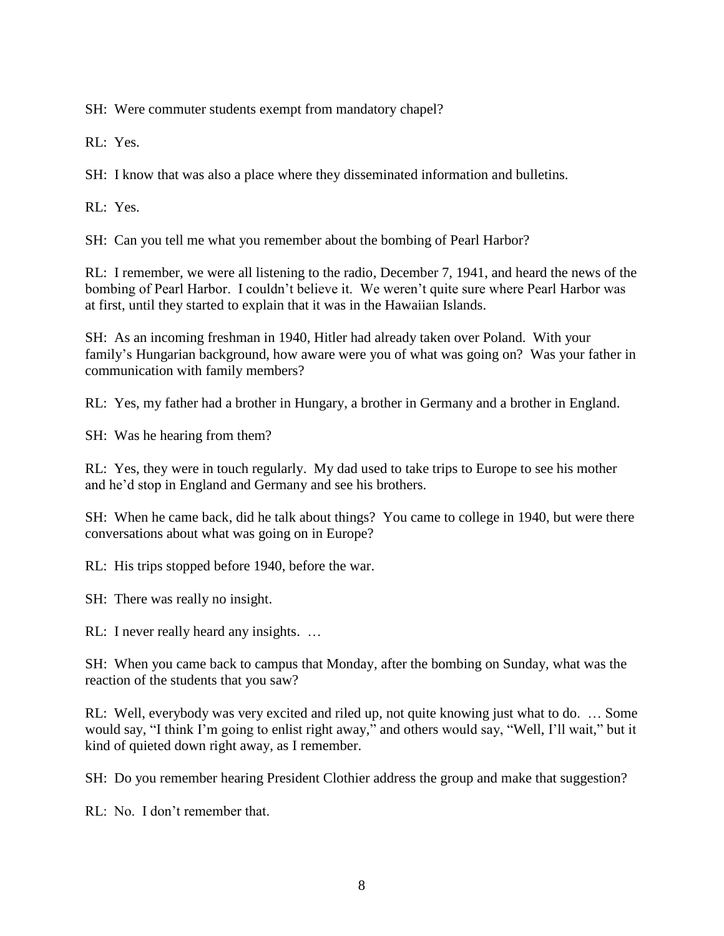SH: Were commuter students exempt from mandatory chapel?

RL: Yes.

SH: I know that was also a place where they disseminated information and bulletins.

RL: Yes.

SH: Can you tell me what you remember about the bombing of Pearl Harbor?

RL: I remember, we were all listening to the radio, December 7, 1941, and heard the news of the bombing of Pearl Harbor. I couldn't believe it. We weren't quite sure where Pearl Harbor was at first, until they started to explain that it was in the Hawaiian Islands.

SH: As an incoming freshman in 1940, Hitler had already taken over Poland. With your family's Hungarian background, how aware were you of what was going on? Was your father in communication with family members?

RL: Yes, my father had a brother in Hungary, a brother in Germany and a brother in England.

SH: Was he hearing from them?

RL: Yes, they were in touch regularly. My dad used to take trips to Europe to see his mother and he'd stop in England and Germany and see his brothers.

SH: When he came back, did he talk about things? You came to college in 1940, but were there conversations about what was going on in Europe?

RL: His trips stopped before 1940, before the war.

SH: There was really no insight.

RL: I never really heard any insights. …

SH: When you came back to campus that Monday, after the bombing on Sunday, what was the reaction of the students that you saw?

RL: Well, everybody was very excited and riled up, not quite knowing just what to do. … Some would say, "I think I'm going to enlist right away," and others would say, "Well, I'll wait," but it kind of quieted down right away, as I remember.

SH: Do you remember hearing President Clothier address the group and make that suggestion?

RL: No. I don't remember that.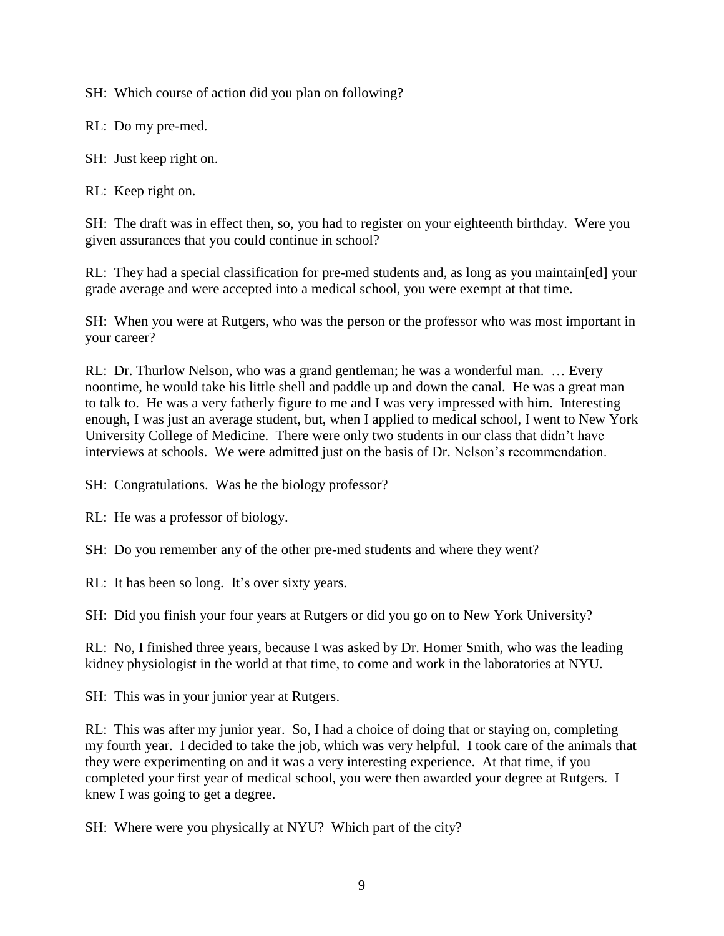SH: Which course of action did you plan on following?

RL: Do my pre-med.

SH: Just keep right on.

RL: Keep right on.

SH: The draft was in effect then, so, you had to register on your eighteenth birthday. Were you given assurances that you could continue in school?

RL: They had a special classification for pre-med students and, as long as you maintain[ed] your grade average and were accepted into a medical school, you were exempt at that time.

SH: When you were at Rutgers, who was the person or the professor who was most important in your career?

RL: Dr. Thurlow Nelson, who was a grand gentleman; he was a wonderful man. … Every noontime, he would take his little shell and paddle up and down the canal. He was a great man to talk to. He was a very fatherly figure to me and I was very impressed with him. Interesting enough, I was just an average student, but, when I applied to medical school, I went to New York University College of Medicine. There were only two students in our class that didn't have interviews at schools. We were admitted just on the basis of Dr. Nelson's recommendation.

SH: Congratulations. Was he the biology professor?

RL: He was a professor of biology.

SH: Do you remember any of the other pre-med students and where they went?

RL: It has been so long. It's over sixty years.

SH: Did you finish your four years at Rutgers or did you go on to New York University?

RL: No, I finished three years, because I was asked by Dr. Homer Smith, who was the leading kidney physiologist in the world at that time, to come and work in the laboratories at NYU.

SH: This was in your junior year at Rutgers.

RL: This was after my junior year. So, I had a choice of doing that or staying on, completing my fourth year. I decided to take the job, which was very helpful. I took care of the animals that they were experimenting on and it was a very interesting experience. At that time, if you completed your first year of medical school, you were then awarded your degree at Rutgers. I knew I was going to get a degree.

SH: Where were you physically at NYU? Which part of the city?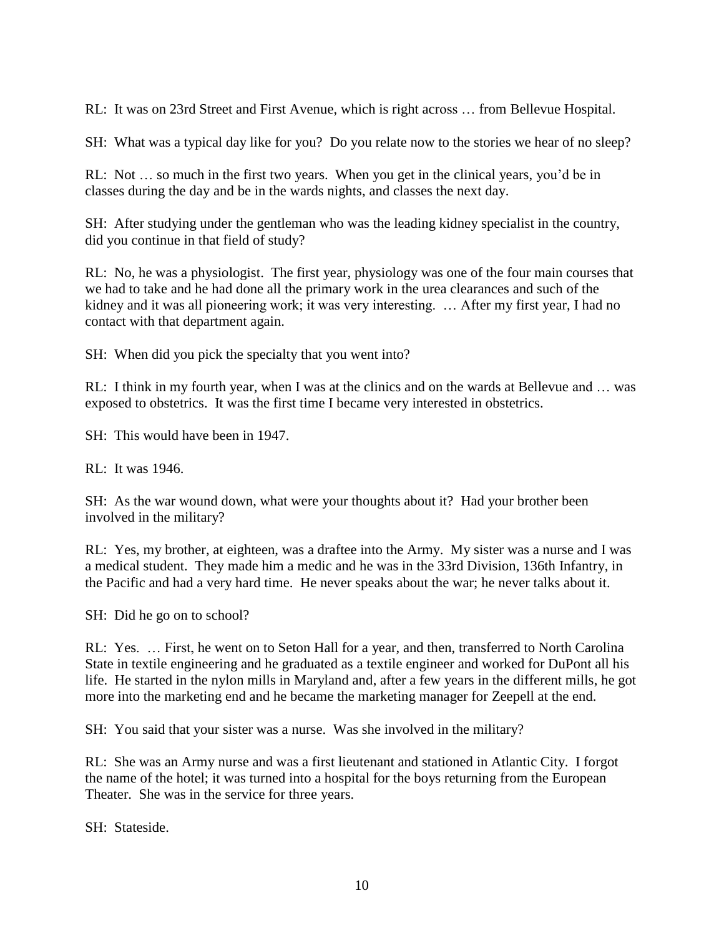RL: It was on 23rd Street and First Avenue, which is right across … from Bellevue Hospital.

SH: What was a typical day like for you? Do you relate now to the stories we hear of no sleep?

RL: Not … so much in the first two years. When you get in the clinical years, you'd be in classes during the day and be in the wards nights, and classes the next day.

SH: After studying under the gentleman who was the leading kidney specialist in the country, did you continue in that field of study?

RL: No, he was a physiologist. The first year, physiology was one of the four main courses that we had to take and he had done all the primary work in the urea clearances and such of the kidney and it was all pioneering work; it was very interesting. … After my first year, I had no contact with that department again.

SH: When did you pick the specialty that you went into?

RL: I think in my fourth year, when I was at the clinics and on the wards at Bellevue and … was exposed to obstetrics. It was the first time I became very interested in obstetrics.

SH: This would have been in 1947.

RL: It was 1946.

SH: As the war wound down, what were your thoughts about it? Had your brother been involved in the military?

RL: Yes, my brother, at eighteen, was a draftee into the Army. My sister was a nurse and I was a medical student. They made him a medic and he was in the 33rd Division, 136th Infantry, in the Pacific and had a very hard time. He never speaks about the war; he never talks about it.

SH: Did he go on to school?

RL: Yes. … First, he went on to Seton Hall for a year, and then, transferred to North Carolina State in textile engineering and he graduated as a textile engineer and worked for DuPont all his life. He started in the nylon mills in Maryland and, after a few years in the different mills, he got more into the marketing end and he became the marketing manager for Zeepell at the end.

SH: You said that your sister was a nurse. Was she involved in the military?

RL: She was an Army nurse and was a first lieutenant and stationed in Atlantic City. I forgot the name of the hotel; it was turned into a hospital for the boys returning from the European Theater. She was in the service for three years.

SH: Stateside.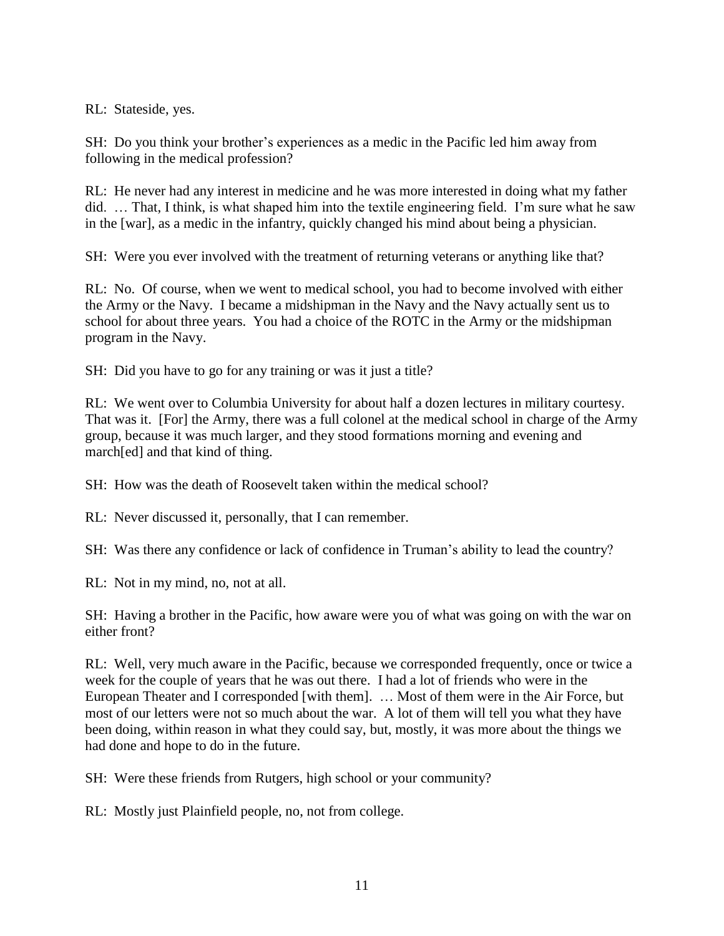RL: Stateside, yes.

SH: Do you think your brother's experiences as a medic in the Pacific led him away from following in the medical profession?

RL: He never had any interest in medicine and he was more interested in doing what my father did. … That, I think, is what shaped him into the textile engineering field. I'm sure what he saw in the [war], as a medic in the infantry, quickly changed his mind about being a physician.

SH: Were you ever involved with the treatment of returning veterans or anything like that?

RL: No. Of course, when we went to medical school, you had to become involved with either the Army or the Navy. I became a midshipman in the Navy and the Navy actually sent us to school for about three years. You had a choice of the ROTC in the Army or the midshipman program in the Navy.

SH: Did you have to go for any training or was it just a title?

RL: We went over to Columbia University for about half a dozen lectures in military courtesy. That was it. [For] the Army, there was a full colonel at the medical school in charge of the Army group, because it was much larger, and they stood formations morning and evening and march[ed] and that kind of thing.

SH: How was the death of Roosevelt taken within the medical school?

RL: Never discussed it, personally, that I can remember.

SH: Was there any confidence or lack of confidence in Truman's ability to lead the country?

RL: Not in my mind, no, not at all.

SH: Having a brother in the Pacific, how aware were you of what was going on with the war on either front?

RL: Well, very much aware in the Pacific, because we corresponded frequently, once or twice a week for the couple of years that he was out there. I had a lot of friends who were in the European Theater and I corresponded [with them]. … Most of them were in the Air Force, but most of our letters were not so much about the war. A lot of them will tell you what they have been doing, within reason in what they could say, but, mostly, it was more about the things we had done and hope to do in the future.

SH: Were these friends from Rutgers, high school or your community?

RL: Mostly just Plainfield people, no, not from college.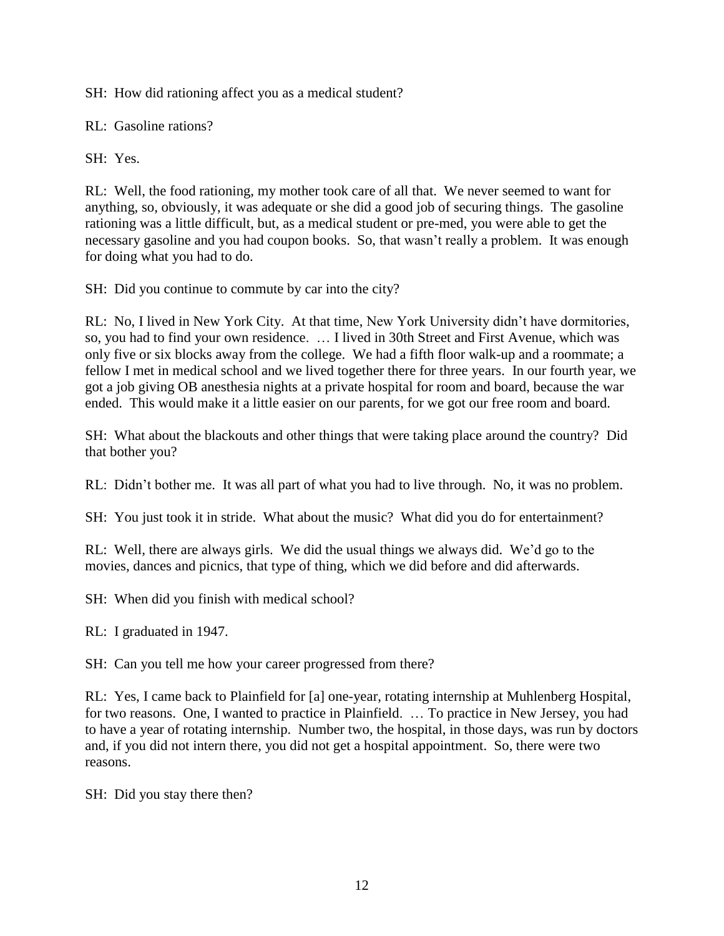SH: How did rationing affect you as a medical student?

RL: Gasoline rations?

SH: Yes.

RL: Well, the food rationing, my mother took care of all that. We never seemed to want for anything, so, obviously, it was adequate or she did a good job of securing things. The gasoline rationing was a little difficult, but, as a medical student or pre-med, you were able to get the necessary gasoline and you had coupon books. So, that wasn't really a problem. It was enough for doing what you had to do.

SH: Did you continue to commute by car into the city?

RL: No, I lived in New York City. At that time, New York University didn't have dormitories, so, you had to find your own residence. … I lived in 30th Street and First Avenue, which was only five or six blocks away from the college. We had a fifth floor walk-up and a roommate; a fellow I met in medical school and we lived together there for three years. In our fourth year, we got a job giving OB anesthesia nights at a private hospital for room and board, because the war ended. This would make it a little easier on our parents, for we got our free room and board.

SH: What about the blackouts and other things that were taking place around the country? Did that bother you?

RL: Didn't bother me. It was all part of what you had to live through. No, it was no problem.

SH: You just took it in stride. What about the music? What did you do for entertainment?

RL: Well, there are always girls. We did the usual things we always did. We'd go to the movies, dances and picnics, that type of thing, which we did before and did afterwards.

SH: When did you finish with medical school?

RL: I graduated in 1947.

SH: Can you tell me how your career progressed from there?

RL: Yes, I came back to Plainfield for [a] one-year, rotating internship at Muhlenberg Hospital, for two reasons. One, I wanted to practice in Plainfield. … To practice in New Jersey, you had to have a year of rotating internship. Number two, the hospital, in those days, was run by doctors and, if you did not intern there, you did not get a hospital appointment. So, there were two reasons.

SH: Did you stay there then?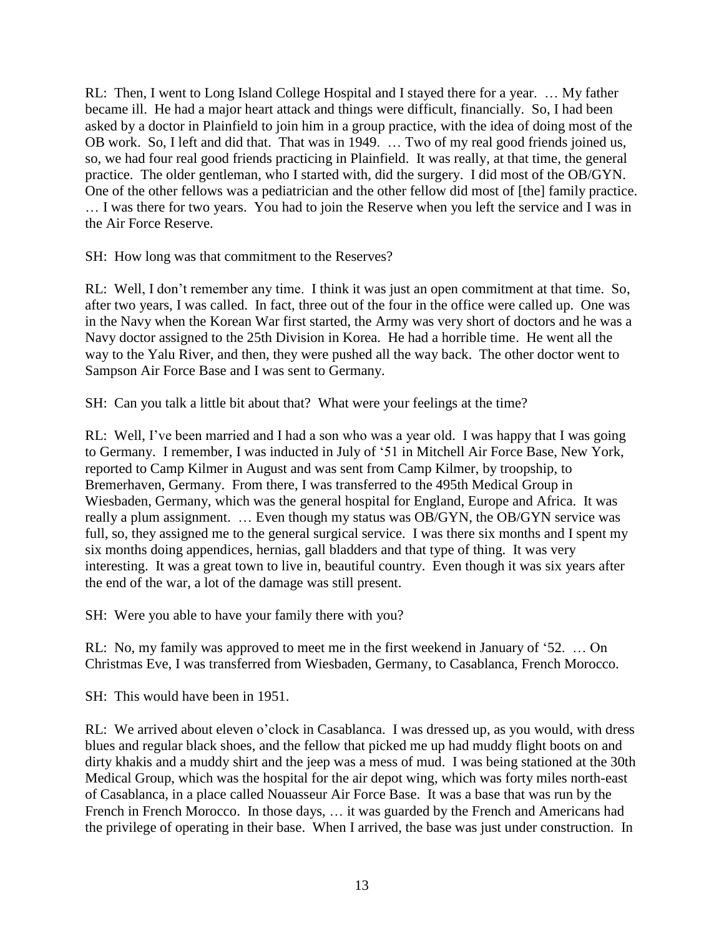RL: Then, I went to Long Island College Hospital and I stayed there for a year. … My father became ill. He had a major heart attack and things were difficult, financially. So, I had been asked by a doctor in Plainfield to join him in a group practice, with the idea of doing most of the OB work. So, I left and did that. That was in 1949. … Two of my real good friends joined us, so, we had four real good friends practicing in Plainfield. It was really, at that time, the general practice. The older gentleman, who I started with, did the surgery. I did most of the OB/GYN. One of the other fellows was a pediatrician and the other fellow did most of [the] family practice. … I was there for two years. You had to join the Reserve when you left the service and I was in the Air Force Reserve.

SH: How long was that commitment to the Reserves?

RL: Well, I don't remember any time. I think it was just an open commitment at that time. So, after two years, I was called. In fact, three out of the four in the office were called up. One was in the Navy when the Korean War first started, the Army was very short of doctors and he was a Navy doctor assigned to the 25th Division in Korea. He had a horrible time. He went all the way to the Yalu River, and then, they were pushed all the way back. The other doctor went to Sampson Air Force Base and I was sent to Germany.

SH: Can you talk a little bit about that? What were your feelings at the time?

RL: Well, I've been married and I had a son who was a year old. I was happy that I was going to Germany. I remember, I was inducted in July of '51 in Mitchell Air Force Base, New York, reported to Camp Kilmer in August and was sent from Camp Kilmer, by troopship, to Bremerhaven, Germany. From there, I was transferred to the 495th Medical Group in Wiesbaden, Germany, which was the general hospital for England, Europe and Africa. It was really a plum assignment. … Even though my status was OB/GYN, the OB/GYN service was full, so, they assigned me to the general surgical service. I was there six months and I spent my six months doing appendices, hernias, gall bladders and that type of thing. It was very interesting. It was a great town to live in, beautiful country. Even though it was six years after the end of the war, a lot of the damage was still present.

SH: Were you able to have your family there with you?

RL: No, my family was approved to meet me in the first weekend in January of '52. … On Christmas Eve, I was transferred from Wiesbaden, Germany, to Casablanca, French Morocco.

SH: This would have been in 1951.

RL: We arrived about eleven o'clock in Casablanca. I was dressed up, as you would, with dress blues and regular black shoes, and the fellow that picked me up had muddy flight boots on and dirty khakis and a muddy shirt and the jeep was a mess of mud. I was being stationed at the 30th Medical Group, which was the hospital for the air depot wing, which was forty miles north-east of Casablanca, in a place called Nouasseur Air Force Base. It was a base that was run by the French in French Morocco. In those days, … it was guarded by the French and Americans had the privilege of operating in their base. When I arrived, the base was just under construction. In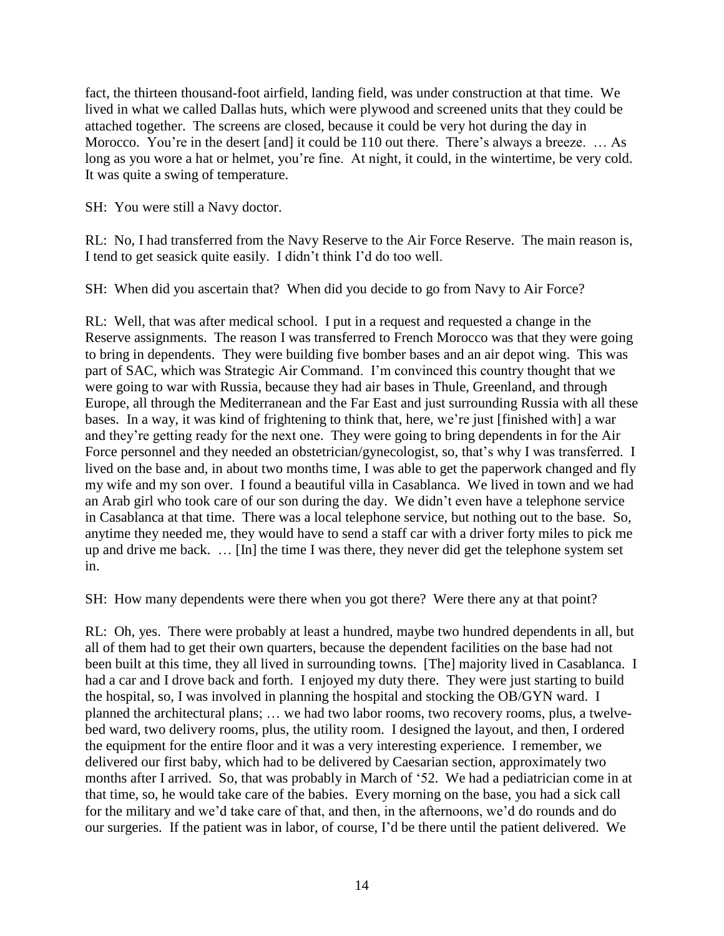fact, the thirteen thousand-foot airfield, landing field, was under construction at that time. We lived in what we called Dallas huts, which were plywood and screened units that they could be attached together. The screens are closed, because it could be very hot during the day in Morocco. You're in the desert [and] it could be 110 out there. There's always a breeze. ... As long as you wore a hat or helmet, you're fine. At night, it could, in the wintertime, be very cold. It was quite a swing of temperature.

SH: You were still a Navy doctor.

RL: No, I had transferred from the Navy Reserve to the Air Force Reserve. The main reason is, I tend to get seasick quite easily. I didn't think I'd do too well.

SH: When did you ascertain that? When did you decide to go from Navy to Air Force?

RL: Well, that was after medical school. I put in a request and requested a change in the Reserve assignments. The reason I was transferred to French Morocco was that they were going to bring in dependents. They were building five bomber bases and an air depot wing. This was part of SAC, which was Strategic Air Command. I'm convinced this country thought that we were going to war with Russia, because they had air bases in Thule, Greenland, and through Europe, all through the Mediterranean and the Far East and just surrounding Russia with all these bases. In a way, it was kind of frightening to think that, here, we're just [finished with] a war and they're getting ready for the next one. They were going to bring dependents in for the Air Force personnel and they needed an obstetrician/gynecologist, so, that's why I was transferred. I lived on the base and, in about two months time, I was able to get the paperwork changed and fly my wife and my son over. I found a beautiful villa in Casablanca. We lived in town and we had an Arab girl who took care of our son during the day. We didn't even have a telephone service in Casablanca at that time. There was a local telephone service, but nothing out to the base. So, anytime they needed me, they would have to send a staff car with a driver forty miles to pick me up and drive me back. … [In] the time I was there, they never did get the telephone system set in.

SH: How many dependents were there when you got there? Were there any at that point?

RL: Oh, yes. There were probably at least a hundred, maybe two hundred dependents in all, but all of them had to get their own quarters, because the dependent facilities on the base had not been built at this time, they all lived in surrounding towns. [The] majority lived in Casablanca. I had a car and I drove back and forth. I enjoyed my duty there. They were just starting to build the hospital, so, I was involved in planning the hospital and stocking the OB/GYN ward. I planned the architectural plans; … we had two labor rooms, two recovery rooms, plus, a twelvebed ward, two delivery rooms, plus, the utility room. I designed the layout, and then, I ordered the equipment for the entire floor and it was a very interesting experience. I remember, we delivered our first baby, which had to be delivered by Caesarian section, approximately two months after I arrived. So, that was probably in March of '52. We had a pediatrician come in at that time, so, he would take care of the babies. Every morning on the base, you had a sick call for the military and we'd take care of that, and then, in the afternoons, we'd do rounds and do our surgeries. If the patient was in labor, of course, I'd be there until the patient delivered. We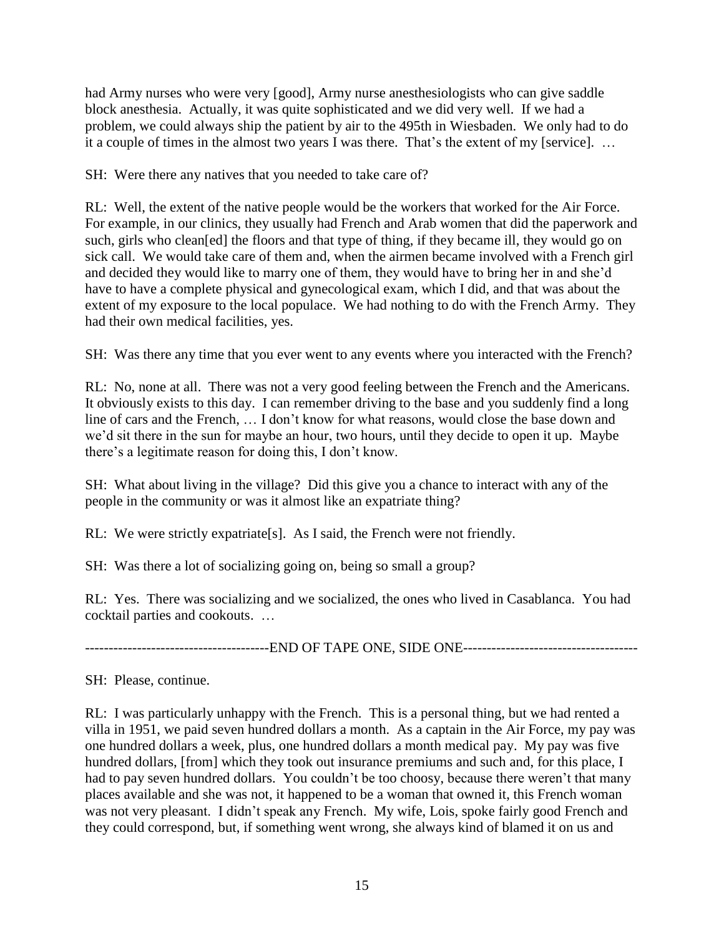had Army nurses who were very [good], Army nurse anesthesiologists who can give saddle block anesthesia. Actually, it was quite sophisticated and we did very well. If we had a problem, we could always ship the patient by air to the 495th in Wiesbaden. We only had to do it a couple of times in the almost two years I was there. That's the extent of my [service]. …

SH: Were there any natives that you needed to take care of?

RL: Well, the extent of the native people would be the workers that worked for the Air Force. For example, in our clinics, they usually had French and Arab women that did the paperwork and such, girls who clean[ed] the floors and that type of thing, if they became ill, they would go on sick call. We would take care of them and, when the airmen became involved with a French girl and decided they would like to marry one of them, they would have to bring her in and she'd have to have a complete physical and gynecological exam, which I did, and that was about the extent of my exposure to the local populace. We had nothing to do with the French Army. They had their own medical facilities, yes.

SH: Was there any time that you ever went to any events where you interacted with the French?

RL: No, none at all. There was not a very good feeling between the French and the Americans. It obviously exists to this day. I can remember driving to the base and you suddenly find a long line of cars and the French, … I don't know for what reasons, would close the base down and we'd sit there in the sun for maybe an hour, two hours, until they decide to open it up. Maybe there's a legitimate reason for doing this, I don't know.

SH: What about living in the village? Did this give you a chance to interact with any of the people in the community or was it almost like an expatriate thing?

RL: We were strictly expatriate [s]. As I said, the French were not friendly.

SH: Was there a lot of socializing going on, being so small a group?

RL: Yes. There was socializing and we socialized, the ones who lived in Casablanca. You had cocktail parties and cookouts. …

---------------------------------------END OF TAPE ONE, SIDE ONE-------------------------------------

SH: Please, continue.

RL: I was particularly unhappy with the French. This is a personal thing, but we had rented a villa in 1951, we paid seven hundred dollars a month. As a captain in the Air Force, my pay was one hundred dollars a week, plus, one hundred dollars a month medical pay. My pay was five hundred dollars, [from] which they took out insurance premiums and such and, for this place, I had to pay seven hundred dollars. You couldn't be too choosy, because there weren't that many places available and she was not, it happened to be a woman that owned it, this French woman was not very pleasant. I didn't speak any French. My wife, Lois, spoke fairly good French and they could correspond, but, if something went wrong, she always kind of blamed it on us and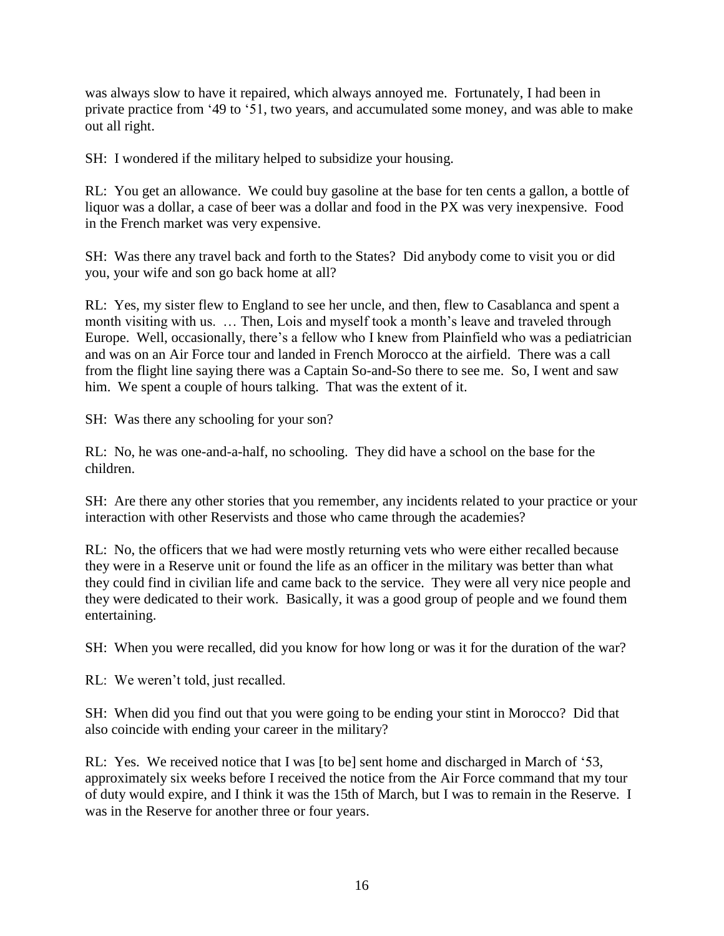was always slow to have it repaired, which always annoyed me. Fortunately, I had been in private practice from '49 to '51, two years, and accumulated some money, and was able to make out all right.

SH: I wondered if the military helped to subsidize your housing.

RL: You get an allowance. We could buy gasoline at the base for ten cents a gallon, a bottle of liquor was a dollar, a case of beer was a dollar and food in the PX was very inexpensive. Food in the French market was very expensive.

SH: Was there any travel back and forth to the States? Did anybody come to visit you or did you, your wife and son go back home at all?

RL: Yes, my sister flew to England to see her uncle, and then, flew to Casablanca and spent a month visiting with us. … Then, Lois and myself took a month's leave and traveled through Europe. Well, occasionally, there's a fellow who I knew from Plainfield who was a pediatrician and was on an Air Force tour and landed in French Morocco at the airfield. There was a call from the flight line saying there was a Captain So-and-So there to see me. So, I went and saw him. We spent a couple of hours talking. That was the extent of it.

SH: Was there any schooling for your son?

RL: No, he was one-and-a-half, no schooling. They did have a school on the base for the children.

SH: Are there any other stories that you remember, any incidents related to your practice or your interaction with other Reservists and those who came through the academies?

RL: No, the officers that we had were mostly returning vets who were either recalled because they were in a Reserve unit or found the life as an officer in the military was better than what they could find in civilian life and came back to the service. They were all very nice people and they were dedicated to their work. Basically, it was a good group of people and we found them entertaining.

SH: When you were recalled, did you know for how long or was it for the duration of the war?

RL: We weren't told, just recalled.

SH: When did you find out that you were going to be ending your stint in Morocco? Did that also coincide with ending your career in the military?

RL: Yes. We received notice that I was [to be] sent home and discharged in March of '53, approximately six weeks before I received the notice from the Air Force command that my tour of duty would expire, and I think it was the 15th of March, but I was to remain in the Reserve. I was in the Reserve for another three or four years.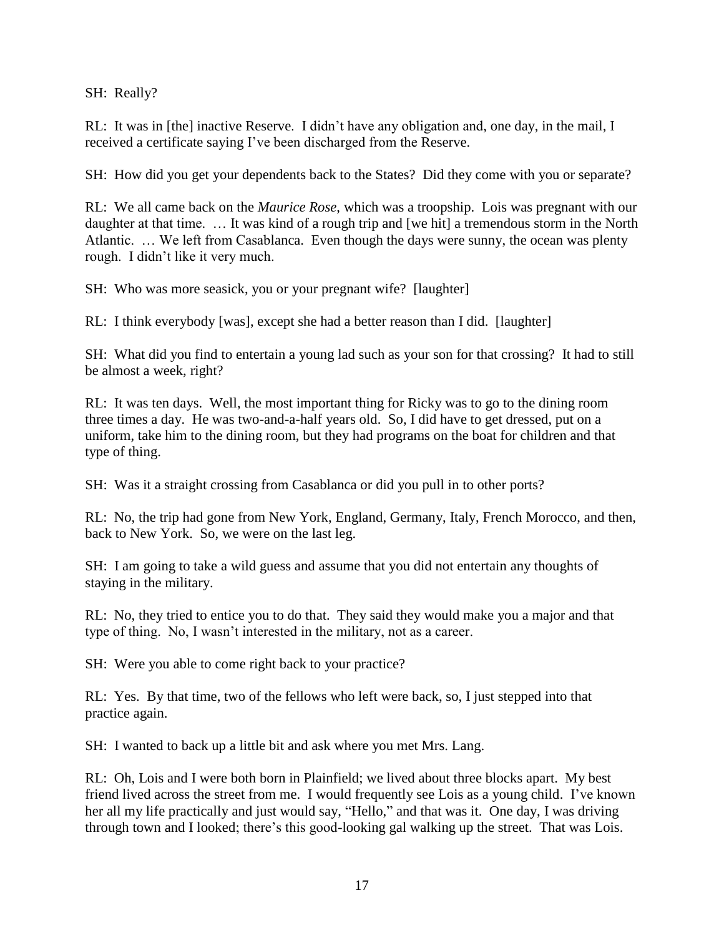SH: Really?

RL: It was in [the] inactive Reserve. I didn't have any obligation and, one day, in the mail, I received a certificate saying I've been discharged from the Reserve.

SH: How did you get your dependents back to the States? Did they come with you or separate?

RL: We all came back on the *Maurice Rose*, which was a troopship. Lois was pregnant with our daughter at that time. … It was kind of a rough trip and [we hit] a tremendous storm in the North Atlantic. … We left from Casablanca. Even though the days were sunny, the ocean was plenty rough. I didn't like it very much.

SH: Who was more seasick, you or your pregnant wife? [laughter]

RL: I think everybody [was], except she had a better reason than I did. [laughter]

SH: What did you find to entertain a young lad such as your son for that crossing? It had to still be almost a week, right?

RL: It was ten days. Well, the most important thing for Ricky was to go to the dining room three times a day. He was two-and-a-half years old. So, I did have to get dressed, put on a uniform, take him to the dining room, but they had programs on the boat for children and that type of thing.

SH: Was it a straight crossing from Casablanca or did you pull in to other ports?

RL: No, the trip had gone from New York, England, Germany, Italy, French Morocco, and then, back to New York. So, we were on the last leg.

SH: I am going to take a wild guess and assume that you did not entertain any thoughts of staying in the military.

RL: No, they tried to entice you to do that. They said they would make you a major and that type of thing. No, I wasn't interested in the military, not as a career.

SH: Were you able to come right back to your practice?

RL: Yes. By that time, two of the fellows who left were back, so, I just stepped into that practice again.

SH: I wanted to back up a little bit and ask where you met Mrs. Lang.

RL: Oh, Lois and I were both born in Plainfield; we lived about three blocks apart. My best friend lived across the street from me. I would frequently see Lois as a young child. I've known her all my life practically and just would say, "Hello," and that was it. One day, I was driving through town and I looked; there's this good-looking gal walking up the street. That was Lois.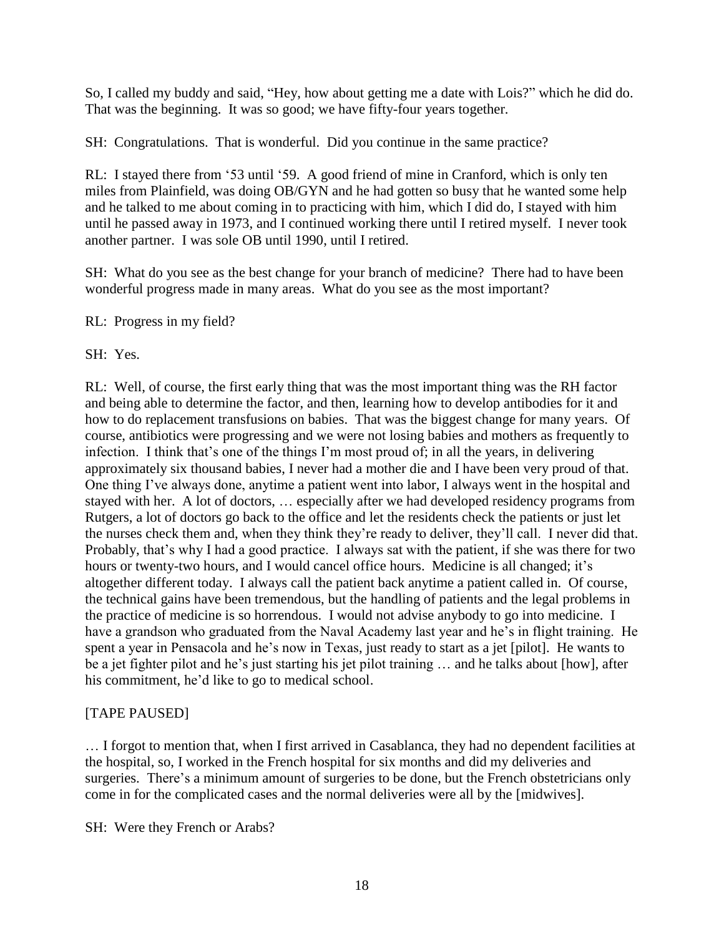So, I called my buddy and said, "Hey, how about getting me a date with Lois?" which he did do. That was the beginning. It was so good; we have fifty-four years together.

SH: Congratulations. That is wonderful. Did you continue in the same practice?

RL: I stayed there from '53 until '59. A good friend of mine in Cranford, which is only ten miles from Plainfield, was doing OB/GYN and he had gotten so busy that he wanted some help and he talked to me about coming in to practicing with him, which I did do, I stayed with him until he passed away in 1973, and I continued working there until I retired myself. I never took another partner. I was sole OB until 1990, until I retired.

SH: What do you see as the best change for your branch of medicine? There had to have been wonderful progress made in many areas. What do you see as the most important?

RL: Progress in my field?

SH: Yes.

RL: Well, of course, the first early thing that was the most important thing was the RH factor and being able to determine the factor, and then, learning how to develop antibodies for it and how to do replacement transfusions on babies. That was the biggest change for many years. Of course, antibiotics were progressing and we were not losing babies and mothers as frequently to infection. I think that's one of the things I'm most proud of; in all the years, in delivering approximately six thousand babies, I never had a mother die and I have been very proud of that. One thing I've always done, anytime a patient went into labor, I always went in the hospital and stayed with her. A lot of doctors, … especially after we had developed residency programs from Rutgers, a lot of doctors go back to the office and let the residents check the patients or just let the nurses check them and, when they think they're ready to deliver, they'll call. I never did that. Probably, that's why I had a good practice. I always sat with the patient, if she was there for two hours or twenty-two hours, and I would cancel office hours. Medicine is all changed; it's altogether different today. I always call the patient back anytime a patient called in. Of course, the technical gains have been tremendous, but the handling of patients and the legal problems in the practice of medicine is so horrendous. I would not advise anybody to go into medicine. I have a grandson who graduated from the Naval Academy last year and he's in flight training. He spent a year in Pensacola and he's now in Texas, just ready to start as a jet [pilot]. He wants to be a jet fighter pilot and he's just starting his jet pilot training … and he talks about [how], after his commitment, he'd like to go to medical school.

## [TAPE PAUSED]

… I forgot to mention that, when I first arrived in Casablanca, they had no dependent facilities at the hospital, so, I worked in the French hospital for six months and did my deliveries and surgeries. There's a minimum amount of surgeries to be done, but the French obstetricians only come in for the complicated cases and the normal deliveries were all by the [midwives].

SH: Were they French or Arabs?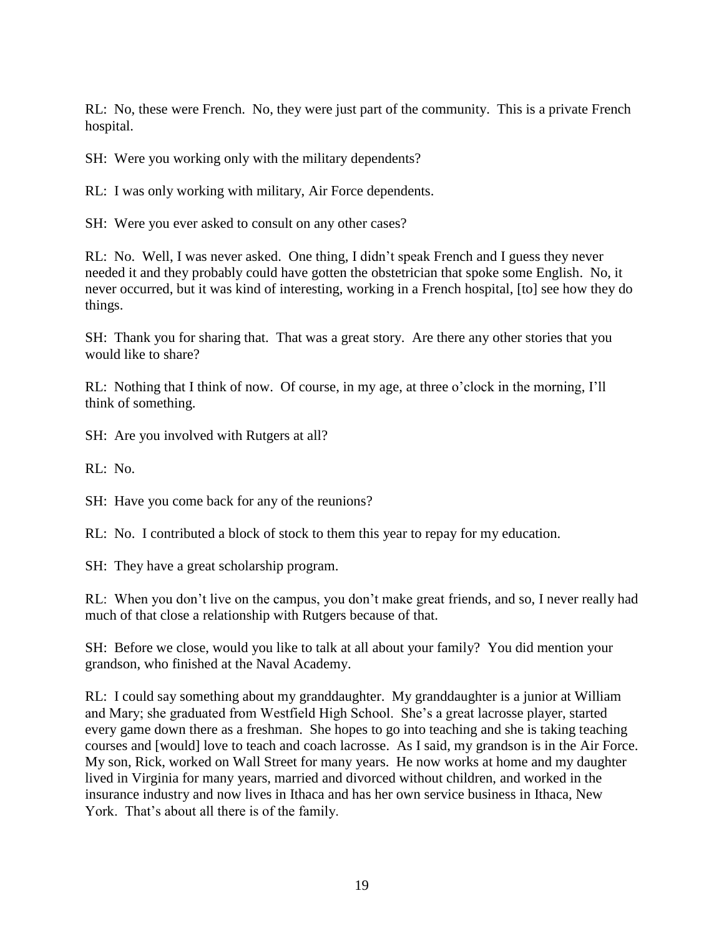RL: No, these were French. No, they were just part of the community. This is a private French hospital.

SH: Were you working only with the military dependents?

RL: I was only working with military, Air Force dependents.

SH: Were you ever asked to consult on any other cases?

RL: No. Well, I was never asked. One thing, I didn't speak French and I guess they never needed it and they probably could have gotten the obstetrician that spoke some English. No, it never occurred, but it was kind of interesting, working in a French hospital, [to] see how they do things.

SH: Thank you for sharing that. That was a great story. Are there any other stories that you would like to share?

RL: Nothing that I think of now. Of course, in my age, at three o'clock in the morning, I'll think of something.

SH: Are you involved with Rutgers at all?

RL: No.

SH: Have you come back for any of the reunions?

RL: No. I contributed a block of stock to them this year to repay for my education.

SH: They have a great scholarship program.

RL: When you don't live on the campus, you don't make great friends, and so, I never really had much of that close a relationship with Rutgers because of that.

SH: Before we close, would you like to talk at all about your family? You did mention your grandson, who finished at the Naval Academy.

RL: I could say something about my granddaughter. My granddaughter is a junior at William and Mary; she graduated from Westfield High School. She's a great lacrosse player, started every game down there as a freshman. She hopes to go into teaching and she is taking teaching courses and [would] love to teach and coach lacrosse. As I said, my grandson is in the Air Force. My son, Rick, worked on Wall Street for many years. He now works at home and my daughter lived in Virginia for many years, married and divorced without children, and worked in the insurance industry and now lives in Ithaca and has her own service business in Ithaca, New York. That's about all there is of the family.